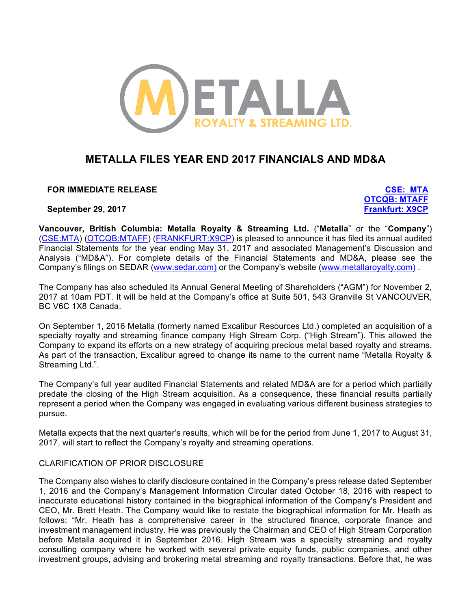

# **METALLA FILES YEAR END 2017 FINANCIALS AND MD&A**

**FOR IMMEDIATE RELEASE CSE: MTA**

**September 29, 2017 Frankfurt: X9CP**

**OTCQB: MTAFF**

**Vancouver, British Columbia: Metalla Royalty & Streaming Ltd.** ("**Metalla**" or the "**Company**") (CSE:MTA) (OTCQB:MTAFF) (FRANKFURT:X9CP) is pleased to announce it has filed its annual audited Financial Statements for the year ending May 31, 2017 and associated Management's Discussion and Analysis ("MD&A"). For complete details of the Financial Statements and MD&A, please see the Company's filings on SEDAR (www.sedar.com) or the Company's website (www.metallaroyalty.com) .

The Company has also scheduled its Annual General Meeting of Shareholders ("AGM") for November 2, 2017 at 10am PDT. It will be held at the Company's office at Suite 501, 543 Granville St VANCOUVER, BC V6C 1X8 Canada.

On September 1, 2016 Metalla (formerly named Excalibur Resources Ltd.) completed an acquisition of a specialty royalty and streaming finance company High Stream Corp. ("High Stream"). This allowed the Company to expand its efforts on a new strategy of acquiring precious metal based royalty and streams. As part of the transaction, Excalibur agreed to change its name to the current name "Metalla Royalty & Streaming Ltd.".

The Company's full year audited Financial Statements and related MD&A are for a period which partially predate the closing of the High Stream acquisition. As a consequence, these financial results partially represent a period when the Company was engaged in evaluating various different business strategies to pursue.

Metalla expects that the next quarter's results, which will be for the period from June 1, 2017 to August 31, 2017, will start to reflect the Company's royalty and streaming operations.

# CLARIFICATION OF PRIOR DISCLOSURE

The Company also wishes to clarify disclosure contained in the Company's press release dated September 1, 2016 and the Company's Management Information Circular dated October 18, 2016 with respect to inaccurate educational history contained in the biographical information of the Company's President and CEO, Mr. Brett Heath. The Company would like to restate the biographical information for Mr. Heath as follows: "Mr. Heath has a comprehensive career in the structured finance, corporate finance and investment management industry. He was previously the Chairman and CEO of High Stream Corporation before Metalla acquired it in September 2016. High Stream was a specialty streaming and royalty consulting company where he worked with several private equity funds, public companies, and other investment groups, advising and brokering metal streaming and royalty transactions. Before that, he was